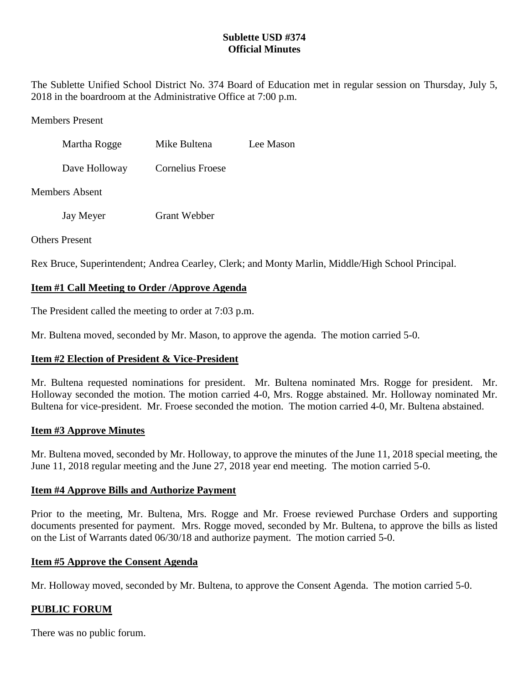## **Sublette USD #374 Official Minutes**

The Sublette Unified School District No. 374 Board of Education met in regular session on Thursday, July 5, 2018 in the boardroom at the Administrative Office at 7:00 p.m.

### Members Present

| Martha Rogge          | Mike Bultena     | Lee Mason |
|-----------------------|------------------|-----------|
| Dave Holloway         | Cornelius Froese |           |
| <b>Members Absent</b> |                  |           |

Jay Meyer Grant Webber

## Others Present

Rex Bruce, Superintendent; Andrea Cearley, Clerk; and Monty Marlin, Middle/High School Principal.

# **Item #1 Call Meeting to Order /Approve Agenda**

The President called the meeting to order at 7:03 p.m.

Mr. Bultena moved, seconded by Mr. Mason, to approve the agenda. The motion carried 5-0.

## **Item #2 Election of President & Vice-President**

Mr. Bultena requested nominations for president. Mr. Bultena nominated Mrs. Rogge for president. Mr. Holloway seconded the motion. The motion carried 4-0, Mrs. Rogge abstained. Mr. Holloway nominated Mr. Bultena for vice-president. Mr. Froese seconded the motion. The motion carried 4-0, Mr. Bultena abstained.

## **Item #3 Approve Minutes**

Mr. Bultena moved, seconded by Mr. Holloway, to approve the minutes of the June 11, 2018 special meeting, the June 11, 2018 regular meeting and the June 27, 2018 year end meeting. The motion carried 5-0.

## **Item #4 Approve Bills and Authorize Payment**

Prior to the meeting, Mr. Bultena, Mrs. Rogge and Mr. Froese reviewed Purchase Orders and supporting documents presented for payment. Mrs. Rogge moved, seconded by Mr. Bultena, to approve the bills as listed on the List of Warrants dated 06/30/18 and authorize payment. The motion carried 5-0.

## **Item #5 Approve the Consent Agenda**

Mr. Holloway moved, seconded by Mr. Bultena, to approve the Consent Agenda. The motion carried 5-0.

## **PUBLIC FORUM**

There was no public forum.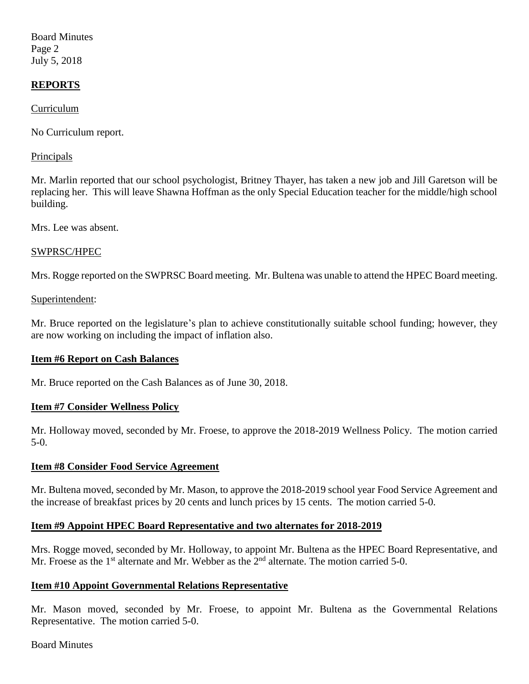Board Minutes Page 2 July 5, 2018

## **REPORTS**

Curriculum

No Curriculum report.

#### Principals

Mr. Marlin reported that our school psychologist, Britney Thayer, has taken a new job and Jill Garetson will be replacing her. This will leave Shawna Hoffman as the only Special Education teacher for the middle/high school building.

Mrs. Lee was absent.

#### SWPRSC/HPEC

Mrs. Rogge reported on the SWPRSC Board meeting. Mr. Bultena was unable to attend the HPEC Board meeting.

#### Superintendent:

Mr. Bruce reported on the legislature's plan to achieve constitutionally suitable school funding; however, they are now working on including the impact of inflation also.

### **Item #6 Report on Cash Balances**

Mr. Bruce reported on the Cash Balances as of June 30, 2018.

### **Item #7 Consider Wellness Policy**

Mr. Holloway moved, seconded by Mr. Froese, to approve the 2018-2019 Wellness Policy. The motion carried 5-0.

### **Item #8 Consider Food Service Agreement**

Mr. Bultena moved, seconded by Mr. Mason, to approve the 2018-2019 school year Food Service Agreement and the increase of breakfast prices by 20 cents and lunch prices by 15 cents. The motion carried 5-0.

### **Item #9 Appoint HPEC Board Representative and two alternates for 2018-2019**

Mrs. Rogge moved, seconded by Mr. Holloway, to appoint Mr. Bultena as the HPEC Board Representative, and Mr. Froese as the  $1<sup>st</sup>$  alternate and Mr. Webber as the  $2<sup>nd</sup>$  alternate. The motion carried 5-0.

#### **Item #10 Appoint Governmental Relations Representative**

Mr. Mason moved, seconded by Mr. Froese, to appoint Mr. Bultena as the Governmental Relations Representative. The motion carried 5-0.

#### Board Minutes